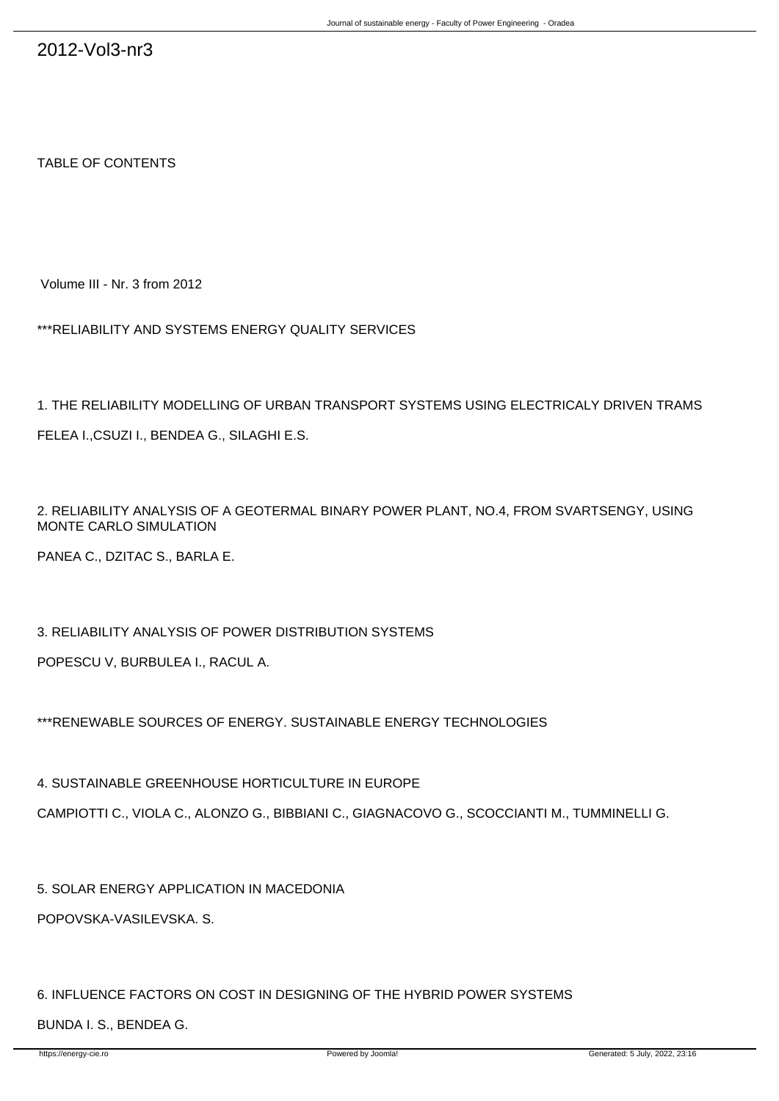TABLE OF CONTENTS

Volume III - Nr. 3 from 2012

\*\*\*RELIABILITY AND SYSTEMS ENERGY QUALITY SERVICES

1. THE RELIABILITY MODELLING OF URBAN TRANSPORT SYSTEMS USING ELECTRICALY DRIVEN TRAMS FELEA I.,CSUZI I., BENDEA G., SILAGHI E.S.

2. RELIABILITY ANALYSIS OF A GEOTERMAL BINARY POWER PLANT, NO.4, FROM SVARTSENGY, USING MONTE CARLO SIMULATION

PANEA C., DZITAC S., BARLA E.

3. RELIABILITY ANALYSIS OF POWER DISTRIBUTION SYSTEMS

POPESCU V, BURBULEA I., RACUL A.

\*\*\*RENEWABLE SOURCES OF ENERGY. SUSTAINABLE ENERGY TECHNOLOGIES

4. SUSTAINABLE GREENHOUSE HORTICULTURE IN EUROPE

CAMPIOTTI C., VIOLA C., ALONZO G., BIBBIANI C., GIAGNACOVO G., SCOCCIANTI M., TUMMINELLI G.

5. SOLAR ENERGY APPLICATION IN MACEDONIA POPOVSKA-VASILEVSKA. S.

6. INFLUENCE FACTORS ON COST IN DESIGNING OF THE HYBRID POWER SYSTEMS

BUNDA I. S., BENDEA G.